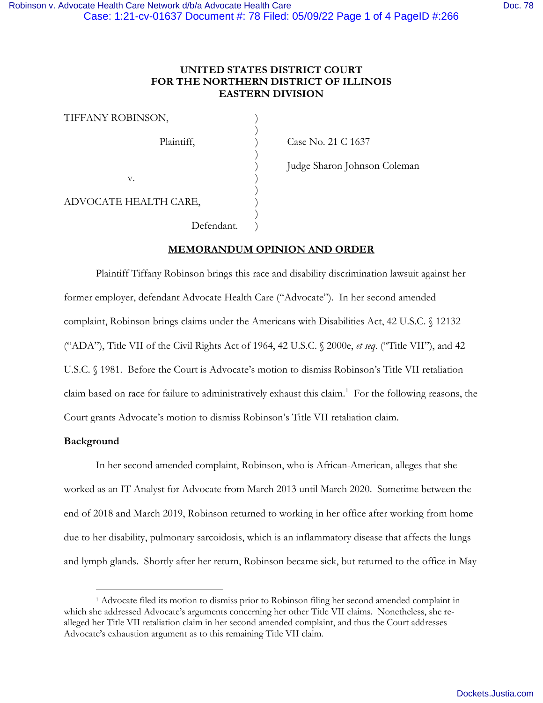# **UNITED STATES DISTRICT COURT FOR THE NORTHERN DISTRICT OF ILLINOIS EASTERN DIVISION**

| TIFFANY ROBINSON,     |  |
|-----------------------|--|
| Plaintiff,            |  |
|                       |  |
| v.                    |  |
| ADVOCATE HEALTH CARE, |  |
| Defendant.            |  |

Case No. 21 C 1637

) Judge Sharon Johnson Coleman

**MEMORANDUM OPINION AND ORDER**

Plaintiff Tiffany Robinson brings this race and disability discrimination lawsuit against her former employer, defendant Advocate Health Care ("Advocate"). In her second amended complaint, Robinson brings claims under the Americans with Disabilities Act, 42 U.S.C. § 12132 ("ADA"), Title VII of the Civil Rights Act of 1964, 42 U.S.C. § 2000e, *et seq*. ("Title VII"), and 42 U.S.C. § 1981. Before the Court is Advocate's motion to dismiss Robinson's Title VII retaliation claim based on race for failure to administratively exhaust this claim. [1](#page-0-0) For the following reasons, the Court grants Advocate's motion to dismiss Robinson's Title VII retaliation claim.

# **Background**

In her second amended complaint, Robinson, who is African-American, alleges that she worked as an IT Analyst for Advocate from March 2013 until March 2020. Sometime between the end of 2018 and March 2019, Robinson returned to working in her office after working from home due to her disability, pulmonary sarcoidosis, which is an inflammatory disease that affects the lungs and lymph glands. Shortly after her return, Robinson became sick, but returned to the office in May

<span id="page-0-0"></span><sup>1</sup> Advocate filed its motion to dismiss prior to Robinson filing her second amended complaint in which she addressed Advocate's arguments concerning her other Title VII claims. Nonetheless, she realleged her Title VII retaliation claim in her second amended complaint, and thus the Court addresses Advocate's exhaustion argument as to this remaining Title VII claim.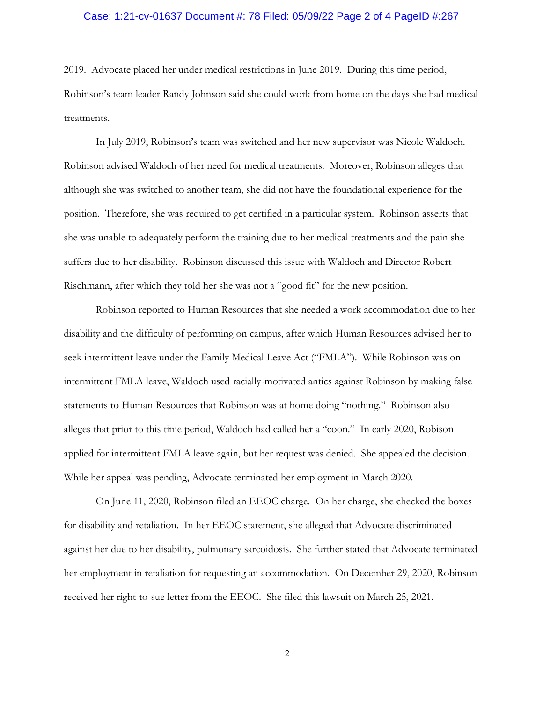### Case: 1:21-cv-01637 Document #: 78 Filed: 05/09/22 Page 2 of 4 PageID #:267

2019. Advocate placed her under medical restrictions in June 2019. During this time period, Robinson's team leader Randy Johnson said she could work from home on the days she had medical treatments.

In July 2019, Robinson's team was switched and her new supervisor was Nicole Waldoch. Robinson advised Waldoch of her need for medical treatments. Moreover, Robinson alleges that although she was switched to another team, she did not have the foundational experience for the position. Therefore, she was required to get certified in a particular system. Robinson asserts that she was unable to adequately perform the training due to her medical treatments and the pain she suffers due to her disability. Robinson discussed this issue with Waldoch and Director Robert Rischmann, after which they told her she was not a "good fit" for the new position.

Robinson reported to Human Resources that she needed a work accommodation due to her disability and the difficulty of performing on campus, after which Human Resources advised her to seek intermittent leave under the Family Medical Leave Act ("FMLA"). While Robinson was on intermittent FMLA leave, Waldoch used racially-motivated antics against Robinson by making false statements to Human Resources that Robinson was at home doing "nothing." Robinson also alleges that prior to this time period, Waldoch had called her a "coon." In early 2020, Robison applied for intermittent FMLA leave again, but her request was denied. She appealed the decision. While her appeal was pending, Advocate terminated her employment in March 2020.

On June 11, 2020, Robinson filed an EEOC charge. On her charge, she checked the boxes for disability and retaliation. In her EEOC statement, she alleged that Advocate discriminated against her due to her disability, pulmonary sarcoidosis. She further stated that Advocate terminated her employment in retaliation for requesting an accommodation. On December 29, 2020, Robinson received her right-to-sue letter from the EEOC. She filed this lawsuit on March 25, 2021.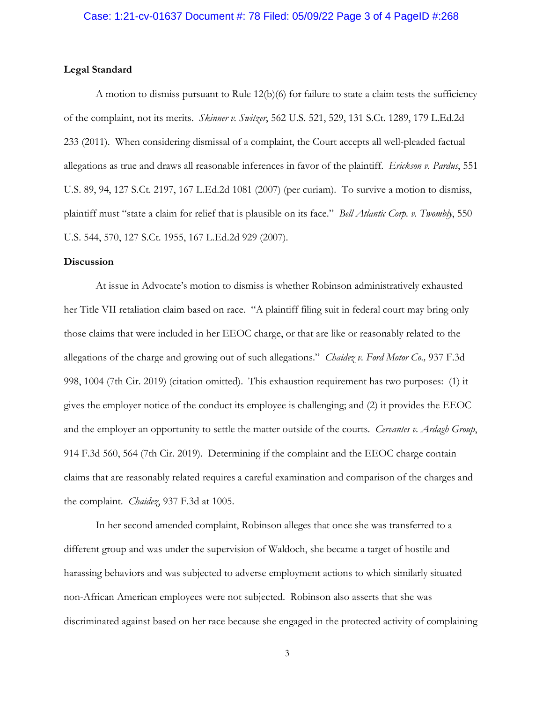### **Legal Standard**

A motion to dismiss pursuant to Rule 12(b)(6) for failure to state a claim tests the sufficiency of the complaint, not its merits. *Skinner v. Switzer*, 562 U.S. 521, 529, 131 S.Ct. 1289, 179 L.Ed.2d 233 (2011). When considering dismissal of a complaint, the Court accepts all well-pleaded factual allegations as true and draws all reasonable inferences in favor of the plaintiff. *Erickson v. Pardus*, 551 U.S. 89, 94, 127 S.Ct. 2197, 167 L.Ed.2d 1081 (2007) (per curiam). To survive a motion to dismiss, plaintiff must "state a claim for relief that is plausible on its face." *Bell Atlantic Corp. v. Twombly*, 550 U.S. 544, 570, 127 S.Ct. 1955, 167 L.Ed.2d 929 (2007).

#### **Discussion**

At issue in Advocate's motion to dismiss is whether Robinson administratively exhausted her Title VII retaliation claim based on race. "A plaintiff filing suit in federal court may bring only those claims that were included in her EEOC charge, or that are like or reasonably related to the allegations of the charge and growing out of such allegations." *Chaidez v. Ford Motor Co.,* 937 F.3d 998, 1004 (7th Cir. 2019) (citation omitted). This exhaustion requirement has two purposes: (1) it gives the employer notice of the conduct its employee is challenging; and (2) it provides the EEOC and the employer an opportunity to settle the matter outside of the courts. *Cervantes v. Ardagh Group*, 914 F.3d 560, 564 (7th Cir. 2019). Determining if the complaint and the EEOC charge contain claims that are reasonably related requires a careful examination and comparison of the charges and the complaint. *Chaidez*, 937 F.3d at 1005.

In her second amended complaint, Robinson alleges that once she was transferred to a different group and was under the supervision of Waldoch, she became a target of hostile and harassing behaviors and was subjected to adverse employment actions to which similarly situated non-African American employees were not subjected. Robinson also asserts that she was discriminated against based on her race because she engaged in the protected activity of complaining